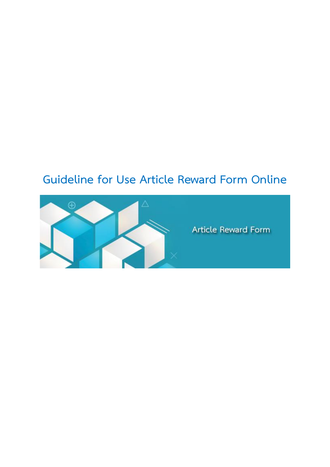## **Guideline for Use Article Reward Form Online**



Article Reward Form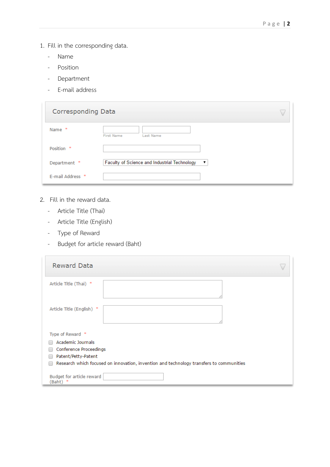- 1. Fill in the corresponding data.
	- Name
	- Position
	- Department
	- E-mail address

| <b>Corresponding Data</b> |                                                                          |
|---------------------------|--------------------------------------------------------------------------|
| 1k<br>Name                | <b>First Name</b><br>Last Name                                           |
| Position *                |                                                                          |
| Department *              | Faculty of Science and Industrial Technology<br>$\overline{\phantom{a}}$ |
| E-mail Address *          |                                                                          |

- 2. Fill in the reward data.
	- Article Title (Thai)
	- Article Title (English)
	- Type of Reward
	- Budget for article reward (Baht)

| <b>Reward Data</b>                                                                      |  |
|-----------------------------------------------------------------------------------------|--|
| Article Title (Thai) *                                                                  |  |
| Article Title (English)<br>*                                                            |  |
| Type of Reward *                                                                        |  |
| <b>Academic Journals</b>                                                                |  |
| Conference Proceedings                                                                  |  |
| Patent/Petty-Patent                                                                     |  |
| Research which focused on innovation, invention and technology transfers to communities |  |
| Budget for article reward<br>(Baht)                                                     |  |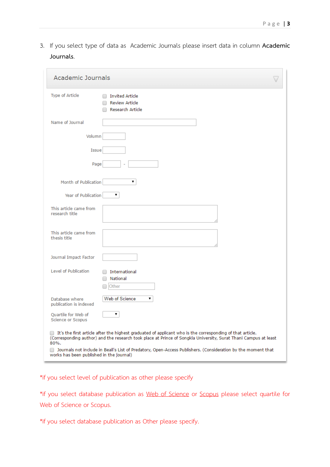3. If you select type of data as Academic Journals please insert data in column **Academic Journals**.

| <b>Academic Journals</b>                         |                                                                                                                                                                                                                                                                                                                                              |  |
|--------------------------------------------------|----------------------------------------------------------------------------------------------------------------------------------------------------------------------------------------------------------------------------------------------------------------------------------------------------------------------------------------------|--|
| Type of Article                                  | <b>Invited Article</b><br><b>Review Article</b><br><b>Research Article</b>                                                                                                                                                                                                                                                                   |  |
| Name of Journal                                  |                                                                                                                                                                                                                                                                                                                                              |  |
| Volumn                                           |                                                                                                                                                                                                                                                                                                                                              |  |
| Issue                                            |                                                                                                                                                                                                                                                                                                                                              |  |
| Page                                             |                                                                                                                                                                                                                                                                                                                                              |  |
| Month of Publication                             | ▼                                                                                                                                                                                                                                                                                                                                            |  |
| Year of Publication                              | ▼                                                                                                                                                                                                                                                                                                                                            |  |
| This article came from<br>research title         |                                                                                                                                                                                                                                                                                                                                              |  |
| This article came from<br>thesis title           |                                                                                                                                                                                                                                                                                                                                              |  |
| Journal Impact Factor                            |                                                                                                                                                                                                                                                                                                                                              |  |
| Level of Publication                             | International<br>National<br>Other                                                                                                                                                                                                                                                                                                           |  |
| Database where<br>publication is indexed         | Web of Science<br>▼                                                                                                                                                                                                                                                                                                                          |  |
| <b>Ouartile for Web of</b><br>Science or Scopus  | ▼                                                                                                                                                                                                                                                                                                                                            |  |
| 80%.<br>works has been published in the journal) | It's the first article after the highest graduated of applicant who is the corresponding of that article.<br>(Corresponding author) and the research took place at Prince of Songkla University, Surat Thani Campus at least<br>Journals not include in Beall's List of Predatory, Open-Access Publishers. (Consideration by the moment that |  |

\*if you select level of publication as other please specify

\*if you select database publication as Web of Science or Scopus please select quartile for Web of Science or Scopus.

\*if you select database publication as Other please specify.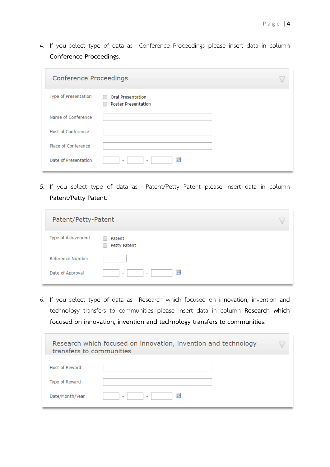4. If you select type of data as Conference Proceedings please insert data in column **Conference Proceedings**.

| <b>Conference Proceedings</b> |                                                             |  |
|-------------------------------|-------------------------------------------------------------|--|
| Type of Presentation          | <b>Oral Presentation</b><br>∩<br><b>Poster Presentation</b> |  |
| Name of Conference            |                                                             |  |
| Host of Conference            |                                                             |  |
| Place of Conference           |                                                             |  |
| Date of Presentation          | 圜<br>$\overline{\phantom{0}}$<br>٠                          |  |

5. If you select type of data as Patent/Petty Patent please insert data in column **Patent/Petty Patent**.

| Patent/Petty-Patent |                                                           |
|---------------------|-----------------------------------------------------------|
| Type of Achivement  | Patent<br>Petty Patent                                    |
| Reference Number    |                                                           |
| Date of Approval    | E<br>$\overline{\phantom{a}}$<br>$\overline{\phantom{a}}$ |

6. If you select type of data as Research which focused on innovation, invention and technology transfers to communities please insert data in column **Research which focused on innovation, invention and technology transfers to communities**.

| transfers to communities | Research which focused on innovation, invention and technology |  |
|--------------------------|----------------------------------------------------------------|--|
| <b>Host of Reward</b>    |                                                                |  |
| Type of Reward           |                                                                |  |
| Date/Month/Year          | m<br>$\overline{\phantom{a}}$<br>$\overline{\phantom{a}}$      |  |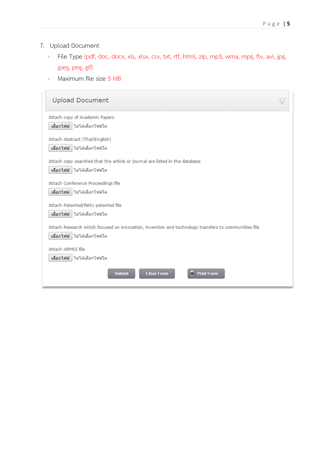- 7. Upload Document
	- File Type (pdf, doc, docx, xls, xlsx, csv, txt, rtf, html, zip, mp3, wma, mpg, flv, avi, jpg, jpeg, png, gif)
	- Maximum file size 5 MB

| <b>Upload Document</b>                                                                                                             |  |
|------------------------------------------------------------------------------------------------------------------------------------|--|
| Attach copy of Academic Papers<br>้เลือกไฟล์ ไไม่ได้เลือกไฟล์ใด                                                                    |  |
| Attach Abstract (Thai/English)<br>เลือกใฟล์ ใม่ได้เลือกใฟล์ใด                                                                      |  |
| Attach copy searched that the article or journal are listed in the database<br>เลือกไฟล์ ไม่ได้เลือกไฟล์ใด                         |  |
| Attach Conference Proceedings file<br>เลือกไฟล์ ไม่ได้เลือกไฟล์ใด                                                                  |  |
| Attach Patented/Petty patented file<br>เลือกไฟล์ ไม่ได้เลือกไฟล์ใด                                                                 |  |
| Attach Research which focused on innovation, invention and technology transfers to communities file<br>เลือกไฟล์ ไม่ได้เลือกไฟล์ใด |  |
| Attach HRMIS file<br>้เลือกไฟล์ ไไม่ได้เลือกไฟล์ใด                                                                                 |  |
| <b>Print Form</b><br><b>Clear Form</b><br><b>Submit</b>                                                                            |  |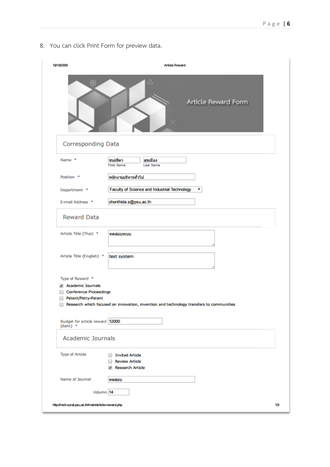8. You can click Print Form for preview data.

| 19/10/2559                                                                | <b>Article Reward</b>                                                                   |     |
|---------------------------------------------------------------------------|-----------------------------------------------------------------------------------------|-----|
| $\oplus$                                                                  | Δ<br>Article Reward Form                                                                |     |
| <b>Corresponding Data</b>                                                 |                                                                                         |     |
| Name *                                                                    | ขนม์ธิดา<br>สุขเมือง<br><b>First Name</b><br><b>Last Name</b>                           |     |
| Position *                                                                | พนักงานบริหารทั่วไป                                                                     |     |
| Department *                                                              | Faculty of Science and Industrial Technology<br>۷.                                      |     |
| E-mail Address *                                                          | chonthida.s@psu.ac.th                                                                   |     |
| <b>Reward Data</b>                                                        |                                                                                         |     |
| Article Title (Thai) *                                                    | ทดสอบระบบ                                                                               |     |
| Article Title (English) *                                                 | test system                                                                             |     |
| Type of Reward *                                                          |                                                                                         |     |
| Academic Journals<br><b>Conference Proceedings</b><br>Patent/Petty-Patent | Research which focused on innovation, invention and technology transfers to communities |     |
| Budget for article reward 12000<br>$(Baht)$ *                             |                                                                                         |     |
| <b>Academic Journals</b>                                                  |                                                                                         |     |
| <b>Type of Article</b>                                                    | <b>Invited Article</b><br><b>Review Article</b><br><b>Research Article</b>              |     |
| Name of Journal                                                           | ิทตสอบ                                                                                  |     |
| Volumn 14                                                                 |                                                                                         |     |
| http://rech.surat.psu.ac.th/main/article-reward.php                       |                                                                                         | 1/3 |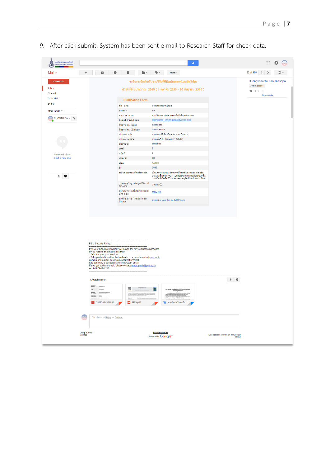9. After click submit, System has been sent e-mail to Research Staff for check data.